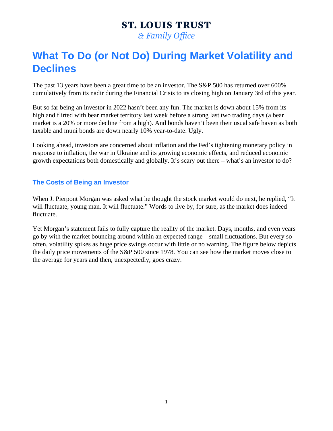# **ST. LOUIS TRUST**

& Family Office

## **What To Do (or Not Do) During Market Volatility and Declines**

The past 13 years have been a great time to be an investor. The S&P 500 has returned over 600% cumulatively from its nadir during the Financial Crisis to its closing high on January 3rd of this year.

But so far being an investor in 2022 hasn't been any fun. The market is down about 15% from its high and flirted with bear market territory last week before a strong last two trading days (a bear market is a 20% or more decline from a high). And bonds haven't been their usual safe haven as both taxable and muni bonds are down nearly 10% year-to-date. Ugly.

Looking ahead, investors are concerned about inflation and the Fed's tightening monetary policy in response to inflation, the war in Ukraine and its growing economic effects, and reduced economic growth expectations both domestically and globally. It's scary out there – what's an investor to do?

### **The Costs of Being an Investor**

When J. Pierpont Morgan was asked what he thought the stock market would do next, he replied, "It will fluctuate, young man. It will fluctuate." Words to live by, for sure, as the market does indeed fluctuate.

Yet Morgan's statement fails to fully capture the reality of the market. Days, months, and even years go by with the market bouncing around within an expected range – small fluctuations. But every so often, volatility spikes as huge price swings occur with little or no warning. The figure below depicts the daily price movements of the S&P 500 since 1978. You can see how the market moves close to the average for years and then, unexpectedly, goes crazy.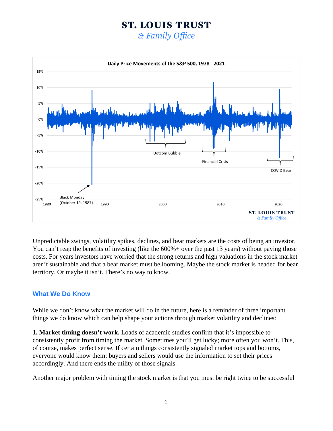### **ST. LOUIS TRUST**

& Family Office



Unpredictable swings, volatility spikes, declines, and bear markets are the costs of being an investor. You can't reap the benefits of investing (like the  $600\%$  + over the past 13 years) without paying those costs. For years investors have worried that the strong returns and high valuations in the stock market aren't sustainable and that a bear market must be looming. Maybe the stock market is headed for bear territory. Or maybe it isn't. There's no way to know.

#### **What We Do Know**

While we don't know what the market will do in the future, here is a reminder of three important things we do know which can help shape your actions through market volatility and declines:

**1. Market timing doesn't work.** Loads of academic studies confirm that it's impossible to consistently profit from timing the market. Sometimes you'll get lucky; more often you won't. This, of course, makes perfect sense. If certain things consistently signaled market tops and bottoms, everyone would know them; buyers and sellers would use the information to set their prices accordingly. And there ends the utility of those signals.

Another major problem with timing the stock market is that you must be right twice to be successful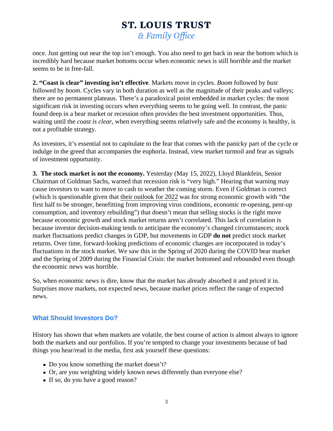once. Just getting out near the top isn't enough. You also need to get back in near the bottom which is incredibly hard because market bottoms occur when economic news is still horrible and the market seems to be in free-fall.

2. "Coast is clear" investing isn't effective Markets move in cycle Boom followed by bust followed by boom Cycles vary in both duration as well as the magnitude of their peaks and valleys; there are no permanent plateaus. There's a paradoxical point embedded in market cycles: the most significant risk in investing occurs when everything seems to be going well. In contrast, the panic found deep in a bear market or recession often provides the best investment opportunities. Thus, waiting until the coast is clear when everything seems relatively safe and the economy is healthy, is not a profitable strategy.

As investors, it's essential not to capitulate to the fear that comes with the panicky part of the cycle or indulge in the greed that accompanies the euphoria. Instead, view market turmoil and fear as signals of investment opportunity.

3. The stock market is not the economy esterday (May 15, 2022), Lloyd Blankfein, Senior Chairman of Goldman Sachs, warned that recession risk is "very high." Hearing that warning may cause investors to want to move to cash to weather the coming storm. Even if Goldman is correct (which is questionable given that eir outlook for 2022 was for strong economic growth with "the first half to be stronger, benefitting from improving virus conditions, economic re-opening, pent-up consumption, and inventory rebuilding") that doesn't mean that selling stocks is the right move because economic growth and stock market returns aren't correlated. This lack of correlation is because investor decision-making tends to anticipate the economy's changed circumstances; stock market fluctuations predict changes in GDP, but movements in GDP bredict stock market returns. Over time, forward-looking predictions of economic changes are incorporated in today's fluctuations in the stock market. We saw this in the Spring of 2020 during the COVID bear market and the Spring of 2009 during the Financial Crisis: the market bottomed and rebounded even though the economic news was horrible.

So, when economic news is dire, know that the market has already absorbed it and priced it in. Surprises move markets, not expected news, because market prices reflect the range of expected news.

#### What Should Investors Do?

History has shown that when markets are volatile, the best course of action is almost always to ignore both the markets and our portfolios. If you're tempted to change your investments because of bad things you hear/read in the media, first ask yourself these questions:

- Do you know something the market doesn't?
- Or, are you weighting widely known news differently than everyone else?
- If so, do you have a good reason?